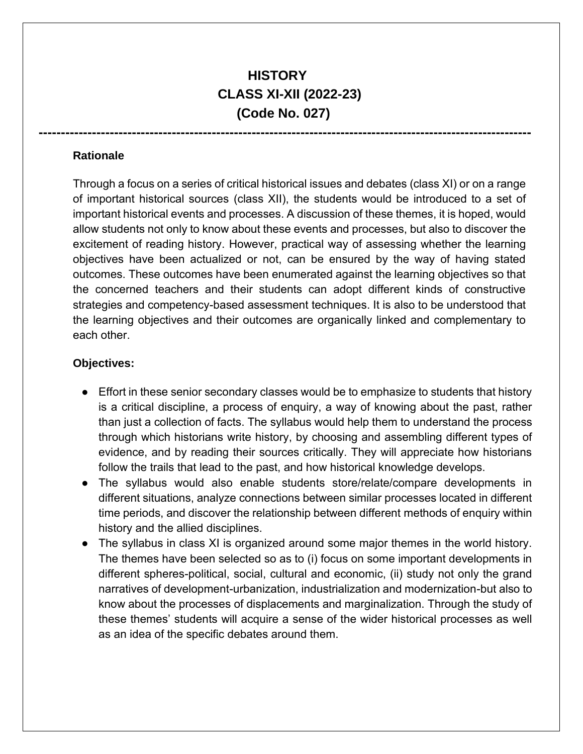# **HISTORY CLASS XI-XII (2022-23) (Code No. 027)**

**---------------------------------------------------------------------------------------------------------------** 

#### **Rationale**

Through a focus on a series of critical historical issues and debates (class XI) or on a range of important historical sources (class XII), the students would be introduced to a set of important historical events and processes. A discussion of these themes, it is hoped, would allow students not only to know about these events and processes, but also to discover the excitement of reading history. However, practical way of assessing whether the learning objectives have been actualized or not, can be ensured by the way of having stated outcomes. These outcomes have been enumerated against the learning objectives so that the concerned teachers and their students can adopt different kinds of constructive strategies and competency-based assessment techniques. It is also to be understood that the learning objectives and their outcomes are organically linked and complementary to each other.

#### **Objectives:**

- Effort in these senior secondary classes would be to emphasize to students that history is a critical discipline, a process of enquiry, a way of knowing about the past, rather than just a collection of facts. The syllabus would help them to understand the process through which historians write history, by choosing and assembling different types of evidence, and by reading their sources critically. They will appreciate how historians follow the trails that lead to the past, and how historical knowledge develops.
- The syllabus would also enable students store/relate/compare developments in different situations, analyze connections between similar processes located in different time periods, and discover the relationship between different methods of enquiry within history and the allied disciplines.
- The syllabus in class XI is organized around some major themes in the world history. The themes have been selected so as to (i) focus on some important developments in different spheres-political, social, cultural and economic, (ii) study not only the grand narratives of development-urbanization, industrialization and modernization-but also to know about the processes of displacements and marginalization. Through the study of these themes' students will acquire a sense of the wider historical processes as well as an idea of the specific debates around them.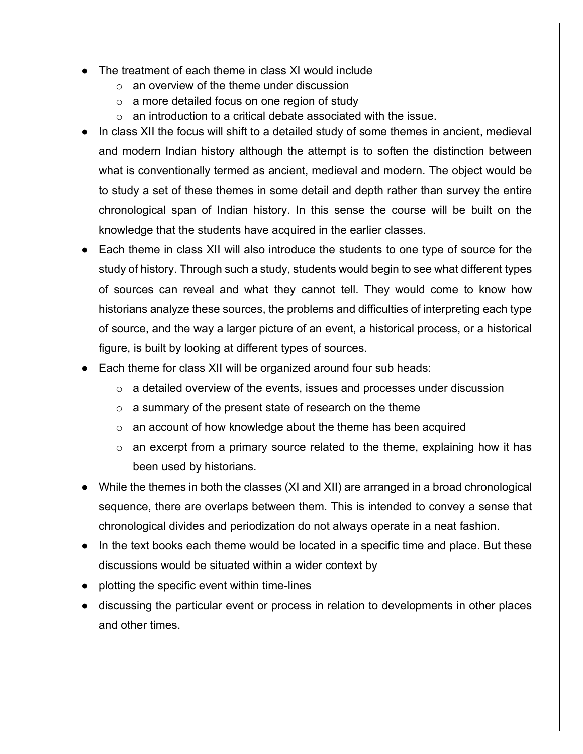- The treatment of each theme in class XI would include
	- $\circ$  an overview of the theme under discussion
	- $\circ$  a more detailed focus on one region of study
	- $\circ$  an introduction to a critical debate associated with the issue.
- In class XII the focus will shift to a detailed study of some themes in ancient, medieval and modern Indian history although the attempt is to soften the distinction between what is conventionally termed as ancient, medieval and modern. The object would be to study a set of these themes in some detail and depth rather than survey the entire chronological span of Indian history. In this sense the course will be built on the knowledge that the students have acquired in the earlier classes.
- Each theme in class XII will also introduce the students to one type of source for the study of history. Through such a study, students would begin to see what different types of sources can reveal and what they cannot tell. They would come to know how historians analyze these sources, the problems and difficulties of interpreting each type of source, and the way a larger picture of an event, a historical process, or a historical figure, is built by looking at different types of sources.
- Each theme for class XII will be organized around four sub heads:
	- $\circ$  a detailed overview of the events, issues and processes under discussion
	- $\circ$  a summary of the present state of research on the theme
	- o an account of how knowledge about the theme has been acquired
	- $\circ$  an excerpt from a primary source related to the theme, explaining how it has been used by historians.
- While the themes in both the classes (XI and XII) are arranged in a broad chronological sequence, there are overlaps between them. This is intended to convey a sense that chronological divides and periodization do not always operate in a neat fashion.
- In the text books each theme would be located in a specific time and place. But these discussions would be situated within a wider context by
- $\theta$  plotting the specific event within time-lines
- discussing the particular event or process in relation to developments in other places and other times.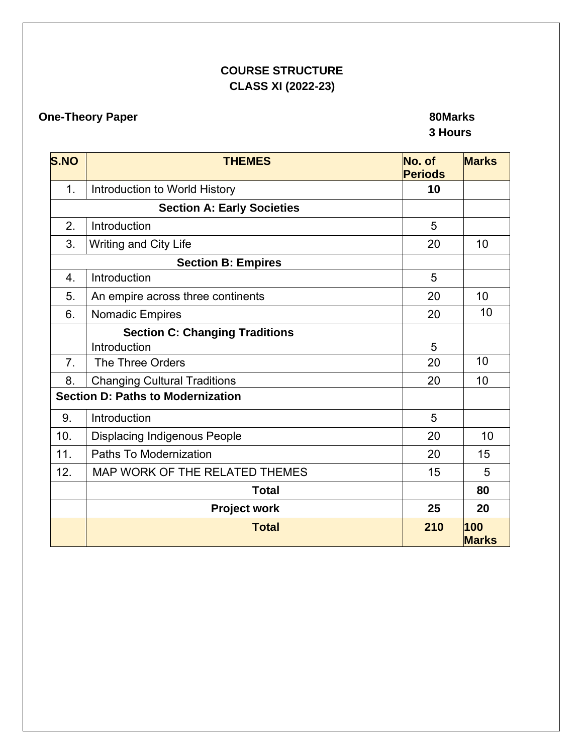# **COURSE STRUCTURE CLASS XI (2022-23)**

# **One-Theory Paper 80Marks 80Marks 80Marks**

# **3 Hours**

| <b>S.NO</b>      | <b>THEMES</b>                            | No. of<br><b>Periods</b> | <b>Marks</b>        |
|------------------|------------------------------------------|--------------------------|---------------------|
| $\mathbf{1}$ .   | Introduction to World History            | 10                       |                     |
|                  | <b>Section A: Early Societies</b>        |                          |                     |
| 2.               | Introduction                             | 5                        |                     |
| 3.               | Writing and City Life                    | 20                       | 10                  |
|                  | <b>Section B: Empires</b>                |                          |                     |
| $\overline{4}$ . | Introduction                             | 5                        |                     |
| 5.               | An empire across three continents        | 20                       | 10                  |
| 6.               | <b>Nomadic Empires</b>                   | 20                       | 10                  |
|                  | <b>Section C: Changing Traditions</b>    |                          |                     |
|                  | Introduction                             | 5                        |                     |
| 7 <sub>1</sub>   | The Three Orders                         | 20                       | 10                  |
| 8.               | <b>Changing Cultural Traditions</b>      | 20                       | 10                  |
|                  | <b>Section D: Paths to Modernization</b> |                          |                     |
| 9.               | Introduction                             | 5                        |                     |
| 10.              | <b>Displacing Indigenous People</b>      | 20                       | 10                  |
| 11.              | Paths To Modernization                   | 20                       | 15                  |
| 12.              | MAP WORK OF THE RELATED THEMES           | 15                       | 5                   |
|                  | <b>Total</b>                             |                          | 80                  |
|                  | <b>Project work</b>                      | 25                       | 20                  |
|                  | <b>Total</b>                             | 210                      | 100<br><b>Marks</b> |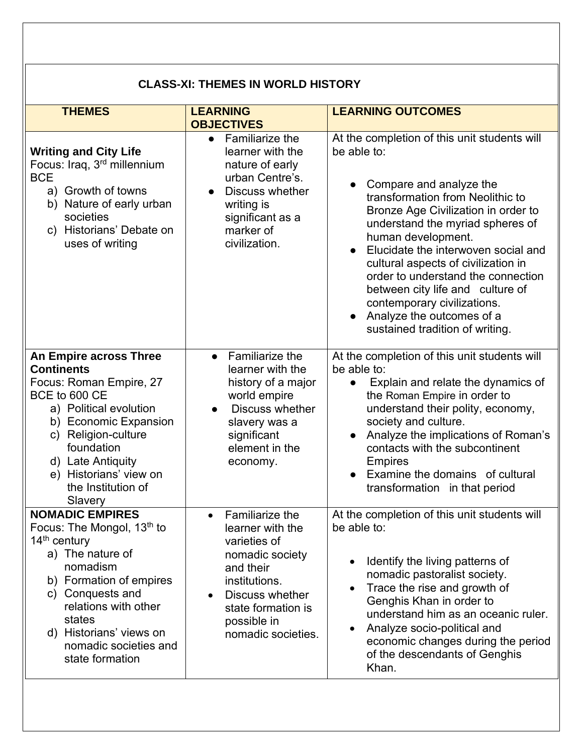| <b>CLASS-XI: THEMES IN WORLD HISTORY</b>                                                                                                                                                                                                                                   |                                                                                                                                                                                                              |                                                                                                                                                                                                                                                                                                                                                                                                                                                                                                 |  |
|----------------------------------------------------------------------------------------------------------------------------------------------------------------------------------------------------------------------------------------------------------------------------|--------------------------------------------------------------------------------------------------------------------------------------------------------------------------------------------------------------|-------------------------------------------------------------------------------------------------------------------------------------------------------------------------------------------------------------------------------------------------------------------------------------------------------------------------------------------------------------------------------------------------------------------------------------------------------------------------------------------------|--|
| <b>THEMES</b>                                                                                                                                                                                                                                                              | <b>LEARNING</b><br><b>OBJECTIVES</b>                                                                                                                                                                         | <b>LEARNING OUTCOMES</b>                                                                                                                                                                                                                                                                                                                                                                                                                                                                        |  |
| <b>Writing and City Life</b><br>Focus: Iraq, 3 <sup>rd</sup> millennium<br><b>BCE</b><br>a) Growth of towns<br>b) Nature of early urban<br>societies<br>c) Historians' Debate on<br>uses of writing                                                                        | • Familiarize the<br>learner with the<br>nature of early<br>urban Centre's.<br>Discuss whether<br>writing is<br>significant as a<br>marker of<br>civilization.                                               | At the completion of this unit students will<br>be able to:<br>Compare and analyze the<br>transformation from Neolithic to<br>Bronze Age Civilization in order to<br>understand the myriad spheres of<br>human development.<br>Elucidate the interwoven social and<br>$\bullet$<br>cultural aspects of civilization in<br>order to understand the connection<br>between city life and culture of<br>contemporary civilizations.<br>Analyze the outcomes of a<br>sustained tradition of writing. |  |
| <b>An Empire across Three</b><br><b>Continents</b><br>Focus: Roman Empire, 27<br>BCE to 600 CE<br>a) Political evolution<br>b) Economic Expansion<br>c) Religion-culture<br>foundation<br>d) Late Antiquity<br>e) Historians' view on<br>the Institution of<br>Slavery     | <b>Familiarize the</b><br>$\bullet$<br>learner with the<br>history of a major<br>world empire<br><b>Discuss whether</b><br>$\bullet$<br>slavery was a<br>significant<br>element in the<br>economy.           | At the completion of this unit students will<br>be able to:<br>Explain and relate the dynamics of<br>$\bullet$<br>the Roman Empire in order to<br>understand their polity, economy,<br>society and culture.<br>Analyze the implications of Roman's<br>contacts with the subcontinent<br><b>Empires</b><br>Examine the domains of cultural<br>transformation in that period                                                                                                                      |  |
| <b>NOMADIC EMPIRES</b><br>Focus: The Mongol, 13 <sup>th</sup> to<br>$14th$ century<br>a) The nature of<br>nomadism<br>b) Formation of empires<br>c) Conquests and<br>relations with other<br>states<br>d) Historians' views on<br>nomadic societies and<br>state formation | Familiarize the<br>$\bullet$<br>learner with the<br>varieties of<br>nomadic society<br>and their<br>institutions.<br>Discuss whether<br>$\bullet$<br>state formation is<br>possible in<br>nomadic societies. | At the completion of this unit students will<br>be able to:<br>Identify the living patterns of<br>nomadic pastoralist society.<br>Trace the rise and growth of<br>$\bullet$<br>Genghis Khan in order to<br>understand him as an oceanic ruler.<br>Analyze socio-political and<br>$\bullet$<br>economic changes during the period<br>of the descendants of Genghis<br>Khan.                                                                                                                      |  |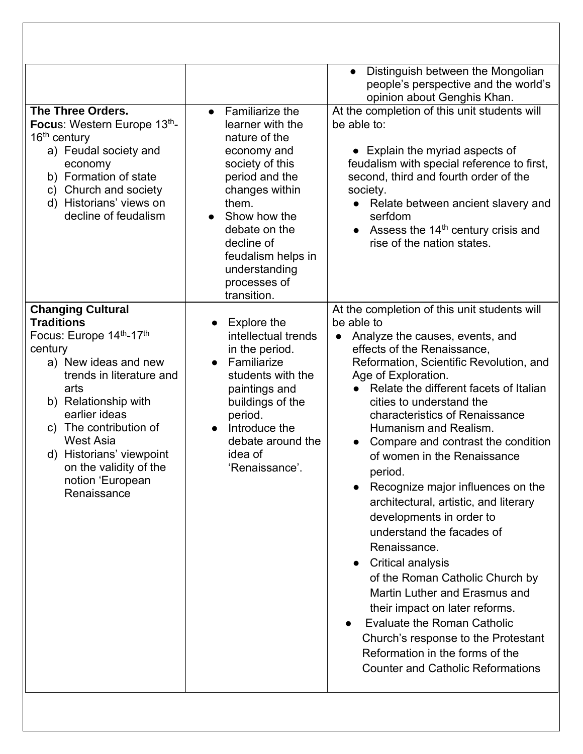|                                                                                                                                                                                                                                                                                                                                 |                                                                                                                                                                                                                                                          | Distinguish between the Mongolian<br>people's perspective and the world's<br>opinion about Genghis Khan.                                                                                                                                                                                                                                                                                                                                                                                                                                                                                                                                                                                                                                                                                                                                                                                                                 |
|---------------------------------------------------------------------------------------------------------------------------------------------------------------------------------------------------------------------------------------------------------------------------------------------------------------------------------|----------------------------------------------------------------------------------------------------------------------------------------------------------------------------------------------------------------------------------------------------------|--------------------------------------------------------------------------------------------------------------------------------------------------------------------------------------------------------------------------------------------------------------------------------------------------------------------------------------------------------------------------------------------------------------------------------------------------------------------------------------------------------------------------------------------------------------------------------------------------------------------------------------------------------------------------------------------------------------------------------------------------------------------------------------------------------------------------------------------------------------------------------------------------------------------------|
| The Three Orders.<br>Focus: Western Europe 13th-<br>$16th$ century<br>a) Feudal society and<br>economy<br>b) Formation of state<br>c) Church and society<br>d) Historians' views on<br>decline of feudalism                                                                                                                     | Familiarize the<br>learner with the<br>nature of the<br>economy and<br>society of this<br>period and the<br>changes within<br>them.<br>Show how the<br>debate on the<br>decline of<br>feudalism helps in<br>understanding<br>processes of<br>transition. | At the completion of this unit students will<br>be able to:<br>• Explain the myriad aspects of<br>feudalism with special reference to first,<br>second, third and fourth order of the<br>society.<br>Relate between ancient slavery and<br>serfdom<br>Assess the $14th$ century crisis and<br>$\bullet$<br>rise of the nation states.                                                                                                                                                                                                                                                                                                                                                                                                                                                                                                                                                                                    |
| <b>Changing Cultural</b><br><b>Traditions</b><br>Focus: Europe 14th-17th<br>century<br>a) New ideas and new<br>trends in literature and<br>arts<br>b) Relationship with<br>earlier ideas<br>c) The contribution of<br><b>West Asia</b><br>d) Historians' viewpoint<br>on the validity of the<br>notion 'European<br>Renaissance | Explore the<br>$\bullet$<br>intellectual trends<br>in the period.<br>Familiarize<br>$\bullet$<br>students with the<br>paintings and<br>buildings of the<br>period.<br>Introduce the<br>$\bullet$<br>debate around the<br>idea of<br>'Renaissance'        | At the completion of this unit students will<br>be able to<br>Analyze the causes, events, and<br>$\bullet$<br>effects of the Renaissance,<br>Reformation, Scientific Revolution, and<br>Age of Exploration.<br>Relate the different facets of Italian<br>$\bullet$<br>cities to understand the<br>characteristics of Renaissance<br>Humanism and Realism.<br>Compare and contrast the condition<br>$\bullet$<br>of women in the Renaissance<br>period.<br>Recognize major influences on the<br>architectural, artistic, and literary<br>developments in order to<br>understand the facades of<br>Renaissance.<br><b>Critical analysis</b><br>of the Roman Catholic Church by<br>Martin Luther and Erasmus and<br>their impact on later reforms.<br><b>Evaluate the Roman Catholic</b><br>$\bullet$<br>Church's response to the Protestant<br>Reformation in the forms of the<br><b>Counter and Catholic Reformations</b> |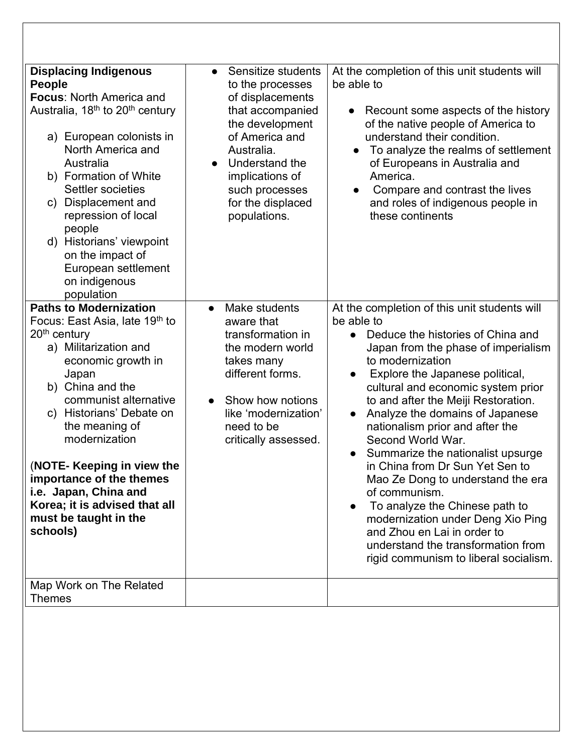| <b>Displacing Indigenous</b><br>People<br><b>Focus: North America and</b><br>Australia, 18 <sup>th</sup> to 20 <sup>th</sup> century<br>a) European colonists in<br>North America and<br>Australia<br>b) Formation of White<br>Settler societies<br>Displacement and<br>C)<br>repression of local<br>people<br>d) Historians' viewpoint<br>on the impact of<br>European settlement<br>on indigenous<br>population                                               | Sensitize students<br>$\bullet$<br>to the processes<br>of displacements<br>that accompanied<br>the development<br>of America and<br>Australia.<br>Understand the<br>$\bullet$<br>implications of<br>such processes<br>for the displaced<br>populations. | At the completion of this unit students will<br>be able to<br>Recount some aspects of the history<br>$\bullet$<br>of the native people of America to<br>understand their condition.<br>To analyze the realms of settlement<br>$\bullet$<br>of Europeans in Australia and<br>America.<br>Compare and contrast the lives<br>$\bullet$<br>and roles of indigenous people in<br>these continents                                                                                                                                                                                                                                                                                                          |
|-----------------------------------------------------------------------------------------------------------------------------------------------------------------------------------------------------------------------------------------------------------------------------------------------------------------------------------------------------------------------------------------------------------------------------------------------------------------|---------------------------------------------------------------------------------------------------------------------------------------------------------------------------------------------------------------------------------------------------------|-------------------------------------------------------------------------------------------------------------------------------------------------------------------------------------------------------------------------------------------------------------------------------------------------------------------------------------------------------------------------------------------------------------------------------------------------------------------------------------------------------------------------------------------------------------------------------------------------------------------------------------------------------------------------------------------------------|
| <b>Paths to Modernization</b><br>Focus: East Asia, late 19 <sup>th</sup> to<br>20 <sup>th</sup> century<br>a) Militarization and<br>economic growth in<br>Japan<br>b) China and the<br>communist alternative<br>c) Historians' Debate on<br>the meaning of<br>modernization<br>(NOTE- Keeping in view the<br>importance of the themes<br>i.e. Japan, China and<br>Korea; it is advised that all<br>must be taught in the<br>schools)<br>Map Work on The Related | Make students<br>$\bullet$<br>aware that<br>transformation in<br>the modern world<br>takes many<br>different forms.<br>Show how notions<br>$\bullet$<br>like 'modernization'<br>need to be<br>critically assessed.                                      | At the completion of this unit students will<br>be able to<br>Deduce the histories of China and<br>$\bullet$<br>Japan from the phase of imperialism<br>to modernization<br>Explore the Japanese political,<br>cultural and economic system prior<br>to and after the Meiji Restoration.<br>Analyze the domains of Japanese<br>nationalism prior and after the<br>Second World War.<br>Summarize the nationalist upsurge<br>in China from Dr Sun Yet Sen to<br>Mao Ze Dong to understand the era<br>of communism.<br>To analyze the Chinese path to<br>modernization under Deng Xio Ping<br>and Zhou en Lai in order to<br>understand the transformation from<br>rigid communism to liberal socialism. |
| Themes                                                                                                                                                                                                                                                                                                                                                                                                                                                          |                                                                                                                                                                                                                                                         |                                                                                                                                                                                                                                                                                                                                                                                                                                                                                                                                                                                                                                                                                                       |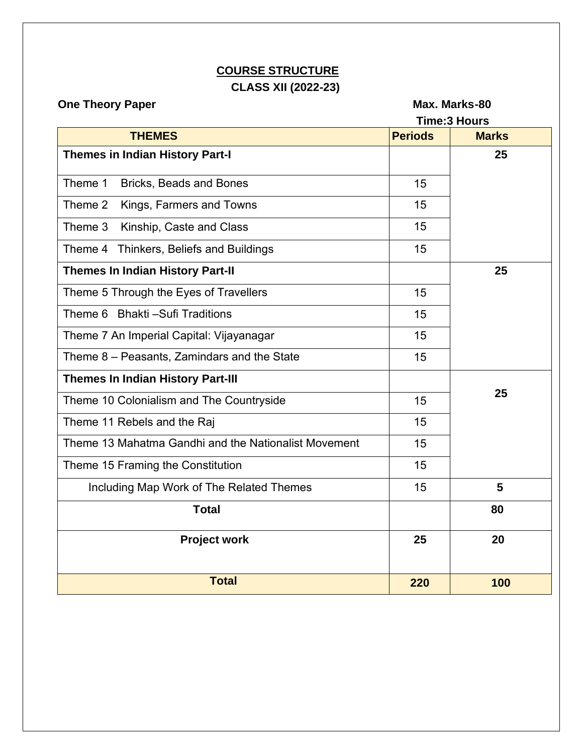# **COURSE STRUCTURE CLASS XII (2022-23)**

**One Theory Paper Contract Contract Contract Contract Contract Contract Contract Contract Contract Contract Contract Contract Contract Contract Contract Contract Contract Contract Contract Contract Contract Contract Contra** 

| <b>Time:3 Hours</b>                                  |                |              |
|------------------------------------------------------|----------------|--------------|
| <b>THEMES</b>                                        | <b>Periods</b> | <b>Marks</b> |
| <b>Themes in Indian History Part-I</b>               |                | 25           |
| Theme 1<br>Bricks, Beads and Bones                   | 15             |              |
| Theme 2<br>Kings, Farmers and Towns                  | 15             |              |
| Theme 3<br>Kinship, Caste and Class                  | 15             |              |
| Theme 4 Thinkers, Beliefs and Buildings              | 15             |              |
| <b>Themes In Indian History Part-II</b>              |                | 25           |
| Theme 5 Through the Eyes of Travellers               | 15             |              |
| Theme 6 Bhakti - Sufi Traditions                     | 15             |              |
| Theme 7 An Imperial Capital: Vijayanagar             | 15             |              |
| Theme 8 - Peasants, Zamindars and the State          | 15             |              |
| <b>Themes In Indian History Part-III</b>             |                |              |
| Theme 10 Colonialism and The Countryside             | 15             | 25           |
| Theme 11 Rebels and the Raj                          | 15             |              |
| Theme 13 Mahatma Gandhi and the Nationalist Movement | 15             |              |
| Theme 15 Framing the Constitution                    | 15             |              |
| Including Map Work of The Related Themes             | 15             | 5            |
| <b>Total</b>                                         |                | 80           |
| <b>Project work</b>                                  | 25             | 20           |
| <b>Total</b>                                         | 220            | 100          |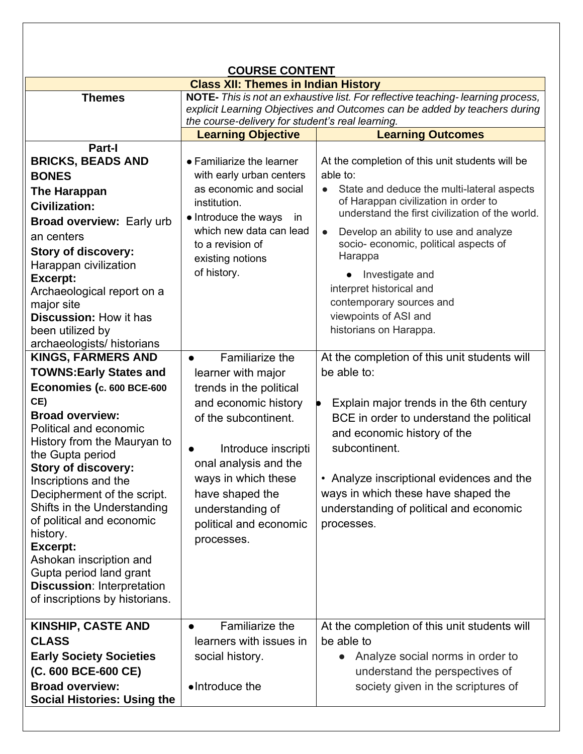|                                                         | <b>COURSE CONTENT</b>                                                                                                                                                                                            |                                                                                         |  |
|---------------------------------------------------------|------------------------------------------------------------------------------------------------------------------------------------------------------------------------------------------------------------------|-----------------------------------------------------------------------------------------|--|
|                                                         | <b>Class XII: Themes in Indian History</b>                                                                                                                                                                       |                                                                                         |  |
| <b>Themes</b>                                           | NOTE- This is not an exhaustive list. For reflective teaching-learning process,<br>explicit Learning Objectives and Outcomes can be added by teachers during<br>the course-delivery for student's real learning. |                                                                                         |  |
|                                                         | <b>Learning Objective</b>                                                                                                                                                                                        | <b>Learning Outcomes</b>                                                                |  |
| <b>Part-I</b>                                           |                                                                                                                                                                                                                  |                                                                                         |  |
| <b>BRICKS, BEADS AND</b>                                | • Familiarize the learner                                                                                                                                                                                        | At the completion of this unit students will be                                         |  |
| <b>BONES</b>                                            | with early urban centers                                                                                                                                                                                         | able to:                                                                                |  |
| <b>The Harappan</b>                                     | as economic and social                                                                                                                                                                                           | State and deduce the multi-lateral aspects<br>$\bullet$                                 |  |
| <b>Civilization:</b>                                    | institution.                                                                                                                                                                                                     | of Harappan civilization in order to<br>understand the first civilization of the world. |  |
| Broad overview: Early urb                               | • Introduce the ways<br>in.                                                                                                                                                                                      |                                                                                         |  |
| an centers                                              | which new data can lead                                                                                                                                                                                          | Develop an ability to use and analyze<br>$\bullet$                                      |  |
| Story of discovery:                                     | to a revision of                                                                                                                                                                                                 | socio- economic, political aspects of<br>Harappa                                        |  |
| Harappan civilization                                   | existing notions                                                                                                                                                                                                 |                                                                                         |  |
| <b>Excerpt:</b>                                         | of history.                                                                                                                                                                                                      | Investigate and<br>$\bullet$                                                            |  |
| Archaeological report on a                              |                                                                                                                                                                                                                  | interpret historical and                                                                |  |
| major site                                              |                                                                                                                                                                                                                  | contemporary sources and                                                                |  |
| <b>Discussion: How it has</b>                           |                                                                                                                                                                                                                  | viewpoints of ASI and                                                                   |  |
| been utilized by                                        |                                                                                                                                                                                                                  | historians on Harappa.                                                                  |  |
| archaeologists/ historians<br><b>KINGS, FARMERS AND</b> | Familiarize the                                                                                                                                                                                                  | At the completion of this unit students will                                            |  |
| <b>TOWNS: Early States and</b>                          | learner with major                                                                                                                                                                                               | be able to:                                                                             |  |
|                                                         |                                                                                                                                                                                                                  |                                                                                         |  |
| Economies (c. 600 BCE-600<br>CE)                        | trends in the political                                                                                                                                                                                          |                                                                                         |  |
| <b>Broad overview:</b>                                  | and economic history                                                                                                                                                                                             | Explain major trends in the 6th century                                                 |  |
| Political and economic                                  | of the subcontinent.                                                                                                                                                                                             | BCE in order to understand the political                                                |  |
| History from the Mauryan to                             |                                                                                                                                                                                                                  | and economic history of the                                                             |  |
| the Gupta period                                        | Introduce inscripti                                                                                                                                                                                              | subcontinent.                                                                           |  |
| <b>Story of discovery:</b>                              | onal analysis and the                                                                                                                                                                                            |                                                                                         |  |
| Inscriptions and the                                    | ways in which these                                                                                                                                                                                              | • Analyze inscriptional evidences and the                                               |  |
| Decipherment of the script.                             | have shaped the                                                                                                                                                                                                  | ways in which these have shaped the                                                     |  |
| Shifts in the Understanding                             | understanding of                                                                                                                                                                                                 | understanding of political and economic                                                 |  |
| of political and economic                               | political and economic                                                                                                                                                                                           | processes.                                                                              |  |
| history.                                                | processes.                                                                                                                                                                                                       |                                                                                         |  |
| <b>Excerpt:</b><br>Ashokan inscription and              |                                                                                                                                                                                                                  |                                                                                         |  |
| Gupta period land grant                                 |                                                                                                                                                                                                                  |                                                                                         |  |
| <b>Discussion: Interpretation</b>                       |                                                                                                                                                                                                                  |                                                                                         |  |
| of inscriptions by historians.                          |                                                                                                                                                                                                                  |                                                                                         |  |
|                                                         |                                                                                                                                                                                                                  |                                                                                         |  |
| <b>KINSHIP, CASTE AND</b>                               | Familiarize the                                                                                                                                                                                                  | At the completion of this unit students will                                            |  |
| <b>CLASS</b>                                            | learners with issues in                                                                                                                                                                                          | be able to                                                                              |  |
| <b>Early Society Societies</b>                          | social history.                                                                                                                                                                                                  | Analyze social norms in order to<br>$\bullet$                                           |  |
| (C. 600 BCE-600 CE)                                     |                                                                                                                                                                                                                  | understand the perspectives of                                                          |  |
| <b>Broad overview:</b>                                  | •Introduce the                                                                                                                                                                                                   | society given in the scriptures of                                                      |  |
| <b>Social Histories: Using the</b>                      |                                                                                                                                                                                                                  |                                                                                         |  |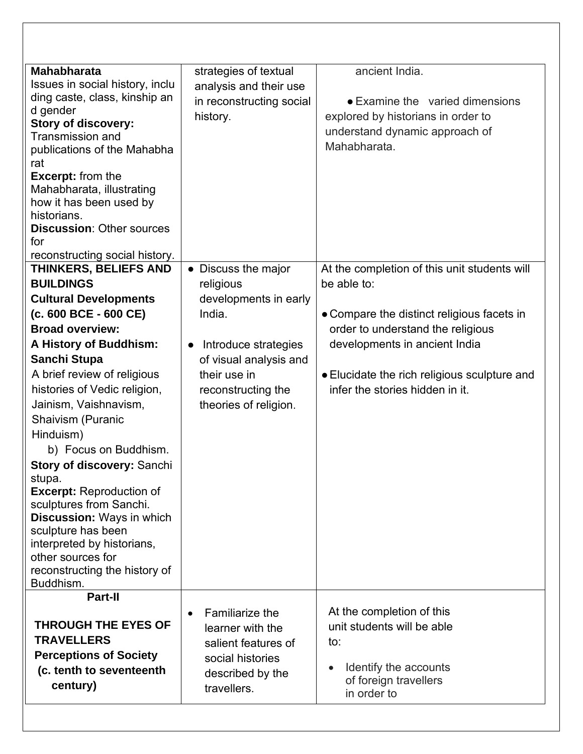| <b>Mahabharata</b><br>Issues in social history, inclu<br>ding caste, class, kinship an<br>d gender<br><b>Story of discovery:</b>                                                                                                              | strategies of textual<br>analysis and their use<br>in reconstructing social<br>history. | ancient India.<br>• Examine the varied dimensions<br>explored by historians in order to<br>understand dynamic approach of |
|-----------------------------------------------------------------------------------------------------------------------------------------------------------------------------------------------------------------------------------------------|-----------------------------------------------------------------------------------------|---------------------------------------------------------------------------------------------------------------------------|
| <b>Transmission and</b><br>publications of the Mahabha<br>rat<br><b>Excerpt:</b> from the<br>Mahabharata, illustrating<br>how it has been used by<br>historians.<br><b>Discussion: Other sources</b><br>for<br>reconstructing social history. |                                                                                         | Mahabharata.                                                                                                              |
| <b>THINKERS, BELIEFS AND</b>                                                                                                                                                                                                                  | • Discuss the major                                                                     | At the completion of this unit students will                                                                              |
| <b>BUILDINGS</b>                                                                                                                                                                                                                              | religious                                                                               | be able to:                                                                                                               |
| <b>Cultural Developments</b>                                                                                                                                                                                                                  | developments in early                                                                   |                                                                                                                           |
| $(c. 600$ BCE - 600 CE)                                                                                                                                                                                                                       | India.                                                                                  | • Compare the distinct religious facets in                                                                                |
| <b>Broad overview:</b>                                                                                                                                                                                                                        |                                                                                         | order to understand the religious                                                                                         |
| A History of Buddhism:                                                                                                                                                                                                                        | Introduce strategies<br>$\bullet$                                                       | developments in ancient India                                                                                             |
| Sanchi Stupa                                                                                                                                                                                                                                  | of visual analysis and                                                                  |                                                                                                                           |
| A brief review of religious                                                                                                                                                                                                                   | their use in                                                                            | • Elucidate the rich religious sculpture and                                                                              |
| histories of Vedic religion,                                                                                                                                                                                                                  | reconstructing the                                                                      | infer the stories hidden in it.                                                                                           |
| Jainism, Vaishnavism,                                                                                                                                                                                                                         | theories of religion.                                                                   |                                                                                                                           |
| Shaivism (Puranic                                                                                                                                                                                                                             |                                                                                         |                                                                                                                           |
| Hinduism)                                                                                                                                                                                                                                     |                                                                                         |                                                                                                                           |
| b) Focus on Buddhism.                                                                                                                                                                                                                         |                                                                                         |                                                                                                                           |
| <b>Story of discovery: Sanchi</b>                                                                                                                                                                                                             |                                                                                         |                                                                                                                           |
| stupa.                                                                                                                                                                                                                                        |                                                                                         |                                                                                                                           |
| <b>Excerpt: Reproduction of</b><br>sculptures from Sanchi.                                                                                                                                                                                    |                                                                                         |                                                                                                                           |
| Discussion: Ways in which                                                                                                                                                                                                                     |                                                                                         |                                                                                                                           |
| sculpture has been                                                                                                                                                                                                                            |                                                                                         |                                                                                                                           |
| interpreted by historians,                                                                                                                                                                                                                    |                                                                                         |                                                                                                                           |
| other sources for                                                                                                                                                                                                                             |                                                                                         |                                                                                                                           |
| reconstructing the history of<br>Buddhism.                                                                                                                                                                                                    |                                                                                         |                                                                                                                           |
| Part-II                                                                                                                                                                                                                                       |                                                                                         |                                                                                                                           |
|                                                                                                                                                                                                                                               | Familiarize the<br>$\bullet$                                                            | At the completion of this                                                                                                 |
| <b>THROUGH THE EYES OF</b>                                                                                                                                                                                                                    | learner with the                                                                        | unit students will be able                                                                                                |
| <b>TRAVELLERS</b>                                                                                                                                                                                                                             | salient features of                                                                     | to:                                                                                                                       |
| <b>Perceptions of Society</b>                                                                                                                                                                                                                 | social histories                                                                        |                                                                                                                           |
| (c. tenth to seventeenth                                                                                                                                                                                                                      | described by the                                                                        | Identify the accounts<br>of foreign travellers                                                                            |
| century)                                                                                                                                                                                                                                      | travellers.                                                                             |                                                                                                                           |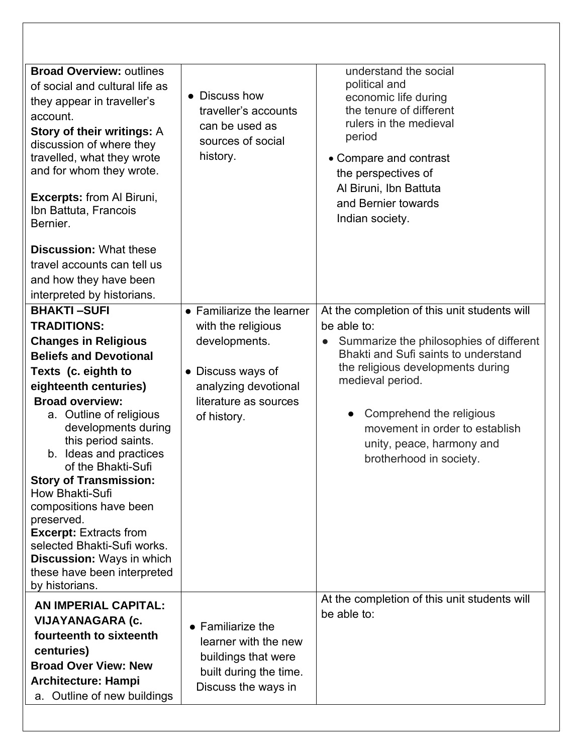| <b>Broad Overview: outlines</b><br>of social and cultural life as<br>they appear in traveller's<br>account.<br><b>Story of their writings: A</b><br>discussion of where they<br>travelled, what they wrote<br>and for whom they wrote.<br><b>Excerpts:</b> from Al Biruni,<br>Ibn Battuta, Francois<br>Bernier.                                                                                                                                                                                                                                              | Discuss how<br>$\bullet$<br>traveller's accounts<br>can be used as<br>sources of social<br>history.                                                   | understand the social<br>political and<br>economic life during<br>the tenure of different<br>rulers in the medieval<br>period<br>• Compare and contrast<br>the perspectives of<br>Al Biruni, Ibn Battuta<br>and Bernier towards<br>Indian society.                                                                            |
|--------------------------------------------------------------------------------------------------------------------------------------------------------------------------------------------------------------------------------------------------------------------------------------------------------------------------------------------------------------------------------------------------------------------------------------------------------------------------------------------------------------------------------------------------------------|-------------------------------------------------------------------------------------------------------------------------------------------------------|-------------------------------------------------------------------------------------------------------------------------------------------------------------------------------------------------------------------------------------------------------------------------------------------------------------------------------|
| <b>Discussion: What these</b><br>travel accounts can tell us<br>and how they have been<br>interpreted by historians.                                                                                                                                                                                                                                                                                                                                                                                                                                         |                                                                                                                                                       |                                                                                                                                                                                                                                                                                                                               |
| <b>BHAKTI-SUFI</b><br><b>TRADITIONS:</b><br><b>Changes in Religious</b><br><b>Beliefs and Devotional</b><br>Texts (c. eighth to<br>eighteenth centuries)<br><b>Broad overview:</b><br>a. Outline of religious<br>developments during<br>this period saints.<br>b. Ideas and practices<br>of the Bhakti-Sufi<br><b>Story of Transmission:</b><br>How Bhakti-Sufi<br>compositions have been<br>preserved.<br><b>Excerpt: Extracts from</b><br>selected Bhakti-Sufi works.<br><b>Discussion: Ways in which</b><br>these have been interpreted<br>by historians. | • Familiarize the learner<br>with the religious<br>developments.<br>• Discuss ways of<br>analyzing devotional<br>literature as sources<br>of history. | At the completion of this unit students will<br>be able to:<br>Summarize the philosophies of different<br>Bhakti and Sufi saints to understand<br>the religious developments during<br>medieval period.<br>Comprehend the religious<br>movement in order to establish<br>unity, peace, harmony and<br>brotherhood in society. |
| AN IMPERIAL CAPITAL:<br>VIJAYANAGARA (c.<br>fourteenth to sixteenth<br>centuries)<br><b>Broad Over View: New</b><br><b>Architecture: Hampi</b><br>a. Outline of new buildings                                                                                                                                                                                                                                                                                                                                                                                | $\bullet$ Familiarize the<br>learner with the new<br>buildings that were<br>built during the time.<br>Discuss the ways in                             | At the completion of this unit students will<br>be able to:                                                                                                                                                                                                                                                                   |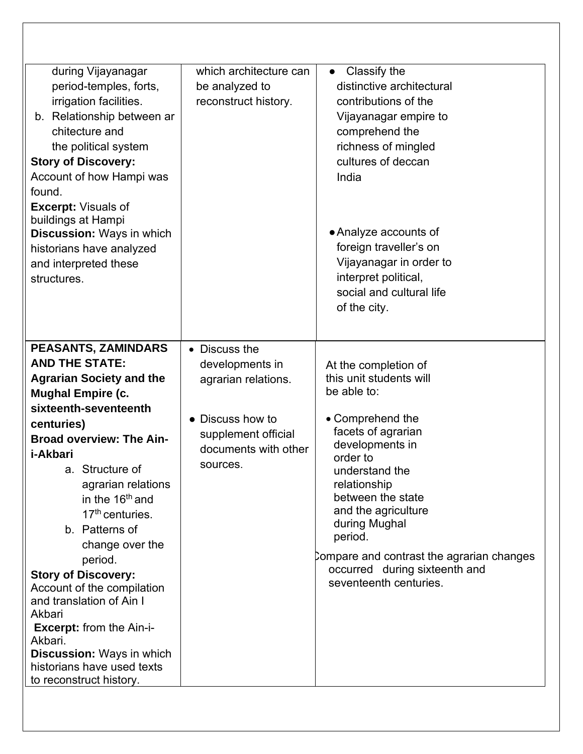| during Vijayanagar<br>period-temples, forts,<br>irrigation facilities.<br>b. Relationship between ar<br>chitecture and<br>the political system<br><b>Story of Discovery:</b><br>Account of how Hampi was<br>found.<br><b>Excerpt: Visuals of</b><br>buildings at Hampi<br><b>Discussion: Ways in which</b><br>historians have analyzed<br>and interpreted these<br>structures.                                                                                                                                                                                                                               | which architecture can<br>be analyzed to<br>reconstruct history.                                                                       | Classify the<br>$\bullet$<br>distinctive architectural<br>contributions of the<br>Vijayanagar empire to<br>comprehend the<br>richness of mingled<br>cultures of deccan<br>India<br>• Analyze accounts of<br>foreign traveller's on<br>Vijayanagar in order to<br>interpret political,<br>social and cultural life                                         |
|--------------------------------------------------------------------------------------------------------------------------------------------------------------------------------------------------------------------------------------------------------------------------------------------------------------------------------------------------------------------------------------------------------------------------------------------------------------------------------------------------------------------------------------------------------------------------------------------------------------|----------------------------------------------------------------------------------------------------------------------------------------|-----------------------------------------------------------------------------------------------------------------------------------------------------------------------------------------------------------------------------------------------------------------------------------------------------------------------------------------------------------|
|                                                                                                                                                                                                                                                                                                                                                                                                                                                                                                                                                                                                              |                                                                                                                                        | of the city.                                                                                                                                                                                                                                                                                                                                              |
| <b>PEASANTS, ZAMINDARS</b><br><b>AND THE STATE:</b><br><b>Agrarian Society and the</b><br><b>Mughal Empire (c.</b><br>sixteenth-seventeenth<br>centuries)<br><b>Broad overview: The Ain-</b><br>i-Akbari<br>a. Structure of<br>agrarian relations<br>in the 16 <sup>th</sup> and<br>17 <sup>th</sup> centuries.<br>b. Patterns of<br>change over the<br>period.<br><b>Story of Discovery:</b><br>Account of the compilation<br>and translation of Ain I<br>Akbari<br><b>Excerpt:</b> from the Ain-i-<br>Akbari.<br><b>Discussion: Ways in which</b><br>historians have used texts<br>to reconstruct history. | • Discuss the<br>developments in<br>agrarian relations.<br>• Discuss how to<br>supplement official<br>documents with other<br>sources. | At the completion of<br>this unit students will<br>be able to:<br>• Comprehend the<br>facets of agrarian<br>developments in<br>order to<br>understand the<br>relationship<br>between the state<br>and the agriculture<br>during Mughal<br>period.<br>Compare and contrast the agrarian changes<br>occurred during sixteenth and<br>seventeenth centuries. |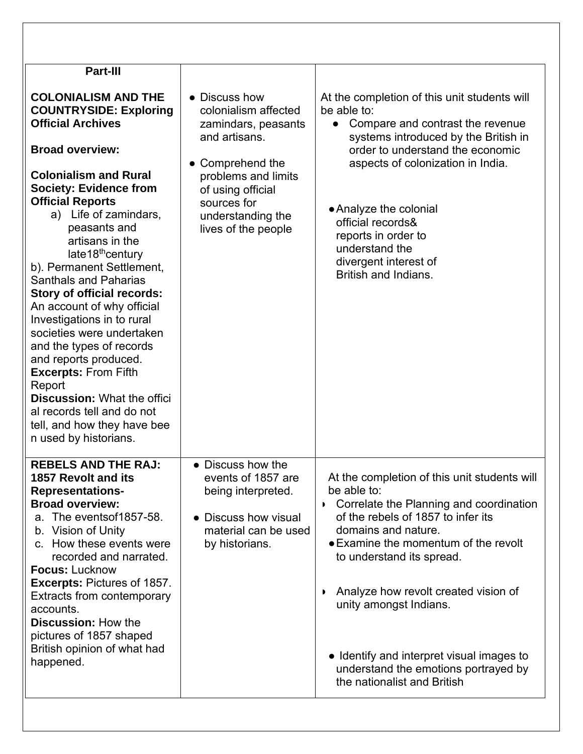| <b>Part-III</b>                                                                                                                                                                                                                                                                                                                                                                                                                                                                                                                                                                                                                                                                                                                |                                                                                                                                                                                                          |                                                                                                                                                                                                                                                                                                                                                                                                                                |
|--------------------------------------------------------------------------------------------------------------------------------------------------------------------------------------------------------------------------------------------------------------------------------------------------------------------------------------------------------------------------------------------------------------------------------------------------------------------------------------------------------------------------------------------------------------------------------------------------------------------------------------------------------------------------------------------------------------------------------|----------------------------------------------------------------------------------------------------------------------------------------------------------------------------------------------------------|--------------------------------------------------------------------------------------------------------------------------------------------------------------------------------------------------------------------------------------------------------------------------------------------------------------------------------------------------------------------------------------------------------------------------------|
| <b>COLONIALISM AND THE</b><br><b>COUNTRYSIDE: Exploring</b><br><b>Official Archives</b><br><b>Broad overview:</b><br><b>Colonialism and Rural</b><br><b>Society: Evidence from</b><br><b>Official Reports</b><br>a) Life of zamindars,<br>peasants and<br>artisans in the<br>late18 <sup>th</sup> century<br>b). Permanent Settlement,<br><b>Santhals and Paharias</b><br><b>Story of official records:</b><br>An account of why official<br>Investigations in to rural<br>societies were undertaken<br>and the types of records<br>and reports produced.<br><b>Excerpts: From Fifth</b><br>Report<br><b>Discussion: What the offici</b><br>al records tell and do not<br>tell, and how they have bee<br>n used by historians. | • Discuss how<br>colonialism affected<br>zamindars, peasants<br>and artisans.<br>• Comprehend the<br>problems and limits<br>of using official<br>sources for<br>understanding the<br>lives of the people | At the completion of this unit students will<br>be able to:<br>Compare and contrast the revenue<br>$\bullet$<br>systems introduced by the British in<br>order to understand the economic<br>aspects of colonization in India.<br>• Analyze the colonial<br>official records&<br>reports in order to<br>understand the<br>divergent interest of<br>British and Indians.                                                         |
| <b>REBELS AND THE RAJ:</b><br><b>1857 Revolt and its</b><br><b>Representations-</b><br><b>Broad overview:</b><br>a. The events of 1857-58.<br>b. Vision of Unity<br>c. How these events were<br>recorded and narrated.<br><b>Focus: Lucknow</b><br><b>Excerpts: Pictures of 1857.</b><br>Extracts from contemporary<br>accounts.<br><b>Discussion: How the</b><br>pictures of 1857 shaped<br>British opinion of what had<br>happened.                                                                                                                                                                                                                                                                                          | • Discuss how the<br>events of 1857 are<br>being interpreted.<br>• Discuss how visual<br>material can be used<br>by historians.                                                                          | At the completion of this unit students will<br>be able to:<br>Correlate the Planning and coordination<br>of the rebels of 1857 to infer its<br>domains and nature.<br>• Examine the momentum of the revolt<br>to understand its spread.<br>Analyze how revolt created vision of<br>unity amongst Indians.<br>• Identify and interpret visual images to<br>understand the emotions portrayed by<br>the nationalist and British |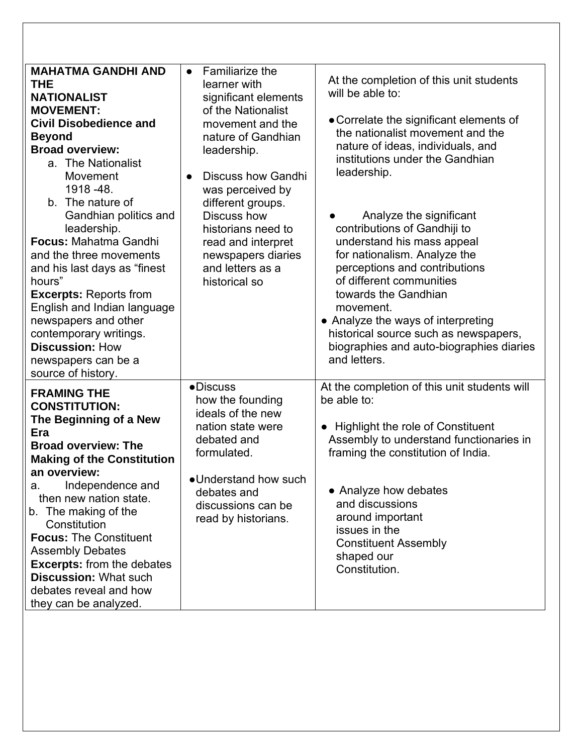| <b>MAHATMA GANDHI AND</b><br>THE<br><b>NATIONALIST</b><br><b>MOVEMENT:</b><br><b>Civil Disobedience and</b><br><b>Beyond</b><br><b>Broad overview:</b><br>a. The Nationalist<br>Movement<br>1918 - 48.<br>b. The nature of<br>Gandhian politics and<br>leadership.<br>Focus: Mahatma Gandhi<br>and the three movements<br>and his last days as "finest<br>hours"<br><b>Excerpts: Reports from</b><br>English and Indian language<br>newspapers and other<br>contemporary writings.<br><b>Discussion: How</b><br>newspapers can be a<br>source of history. | $\bullet$ Familiarize the<br>learner with<br>significant elements<br>of the Nationalist<br>movement and the<br>nature of Gandhian<br>leadership.<br><b>Discuss how Gandhi</b><br>$\bullet$<br>was perceived by<br>different groups.<br>Discuss how<br>historians need to<br>read and interpret<br>newspapers diaries<br>and letters as a<br>historical so | At the completion of this unit students<br>will be able to:<br>• Correlate the significant elements of<br>the nationalist movement and the<br>nature of ideas, individuals, and<br>institutions under the Gandhian<br>leadership.<br>Analyze the significant<br>contributions of Gandhiji to<br>understand his mass appeal<br>for nationalism. Analyze the<br>perceptions and contributions<br>of different communities<br>towards the Gandhian<br>movement.<br>• Analyze the ways of interpreting<br>historical source such as newspapers,<br>biographies and auto-biographies diaries<br>and letters. |
|-----------------------------------------------------------------------------------------------------------------------------------------------------------------------------------------------------------------------------------------------------------------------------------------------------------------------------------------------------------------------------------------------------------------------------------------------------------------------------------------------------------------------------------------------------------|-----------------------------------------------------------------------------------------------------------------------------------------------------------------------------------------------------------------------------------------------------------------------------------------------------------------------------------------------------------|---------------------------------------------------------------------------------------------------------------------------------------------------------------------------------------------------------------------------------------------------------------------------------------------------------------------------------------------------------------------------------------------------------------------------------------------------------------------------------------------------------------------------------------------------------------------------------------------------------|
| <b>FRAMING THE</b><br><b>CONSTITUTION:</b><br>The Beginning of a New<br>Era<br><b>Broad overview: The</b><br><b>Making of the Constitution</b><br>an overview:<br>Independence and<br>a.<br>then new nation state.<br>b. The making of the<br>Constitution<br><b>Focus: The Constituent</b><br><b>Assembly Debates</b><br><b>Excerpts:</b> from the debates<br><b>Discussion: What such</b><br>debates reveal and how<br>they can be analyzed.                                                                                                            | ·Discuss<br>how the founding<br>ideals of the new<br>nation state were<br>debated and<br>formulated.<br>•Understand how such<br>debates and<br>discussions can be<br>read by historians.                                                                                                                                                                  | At the completion of this unit students will<br>be able to:<br>• Highlight the role of Constituent<br>Assembly to understand functionaries in<br>framing the constitution of India.<br>• Analyze how debates<br>and discussions<br>around important<br>issues in the<br><b>Constituent Assembly</b><br>shaped our<br>Constitution.                                                                                                                                                                                                                                                                      |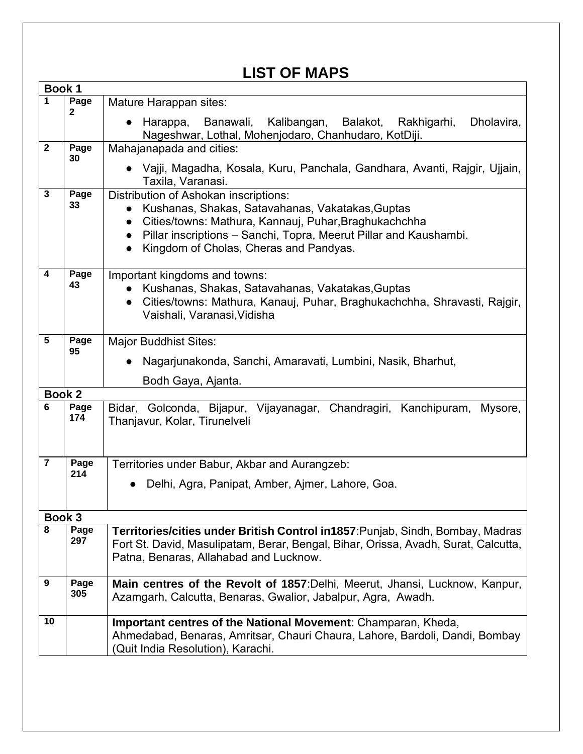# **LIST OF MAPS**

|                         | Book 1        |                                                                                                              |
|-------------------------|---------------|--------------------------------------------------------------------------------------------------------------|
| $\mathbf 1$             | Page          | Mature Harappan sites:                                                                                       |
|                         | 2             | Harappa, Banawali, Kalibangan, Balakot, Rakhigarhi,<br>Dholavira,<br>$\bullet$                               |
|                         |               | Nageshwar, Lothal, Mohenjodaro, Chanhudaro, KotDiji.                                                         |
| $\mathbf{2}$            | Page          | Mahajanapada and cities:                                                                                     |
|                         | 30            | • Vajji, Magadha, Kosala, Kuru, Panchala, Gandhara, Avanti, Rajgir, Ujjain,<br>Taxila, Varanasi.             |
| $\mathbf{3}$            | Page          | Distribution of Ashokan inscriptions:                                                                        |
|                         | 33            | Kushanas, Shakas, Satavahanas, Vakatakas, Guptas                                                             |
|                         |               | Cities/towns: Mathura, Kannauj, Puhar, Braghukachchha                                                        |
|                         |               | Pillar inscriptions - Sanchi, Topra, Meerut Pillar and Kaushambi.<br>$\bullet$                               |
|                         |               | Kingdom of Cholas, Cheras and Pandyas.<br>$\bullet$                                                          |
| $\overline{\mathbf{4}}$ | Page<br>43    | Important kingdoms and towns:                                                                                |
|                         |               | Kushanas, Shakas, Satavahanas, Vakatakas, Guptas                                                             |
|                         |               | Cities/towns: Mathura, Kanauj, Puhar, Braghukachchha, Shravasti, Rajgir,                                     |
|                         |               | Vaishali, Varanasi, Vidisha                                                                                  |
| 5                       | Page          | <b>Major Buddhist Sites:</b>                                                                                 |
|                         | 95            | Nagarjunakonda, Sanchi, Amaravati, Lumbini, Nasik, Bharhut,                                                  |
|                         |               |                                                                                                              |
|                         |               | Bodh Gaya, Ajanta.                                                                                           |
| 6                       | <b>Book 2</b> |                                                                                                              |
|                         | Page<br>174   | Bidar, Golconda, Bijapur, Vijayanagar, Chandragiri, Kanchipuram,<br>Mysore,<br>Thanjavur, Kolar, Tirunelveli |
| $\overline{7}$          | Page          | Territories under Babur, Akbar and Aurangzeb:                                                                |
|                         | 214           | Delhi, Agra, Panipat, Amber, Ajmer, Lahore, Goa.                                                             |
|                         |               |                                                                                                              |
|                         | Book 3        |                                                                                                              |
| 8                       | Page          | Territories/cities under British Control in1857: Punjab, Sindh, Bombay, Madras                               |
|                         | 297           | Fort St. David, Masulipatam, Berar, Bengal, Bihar, Orissa, Avadh, Surat, Calcutta,                           |
|                         |               | Patna, Benaras, Allahabad and Lucknow.                                                                       |
|                         |               |                                                                                                              |
| 9                       | Page          | Main centres of the Revolt of 1857: Delhi, Meerut, Jhansi, Lucknow, Kanpur,                                  |
|                         | 305           | Azamgarh, Calcutta, Benaras, Gwalior, Jabalpur, Agra, Awadh.                                                 |
| 10                      |               | Important centres of the National Movement: Champaran, Kheda,                                                |
|                         |               | Ahmedabad, Benaras, Amritsar, Chauri Chaura, Lahore, Bardoli, Dandi, Bombay                                  |
|                         |               | (Quit India Resolution), Karachi.                                                                            |
|                         |               |                                                                                                              |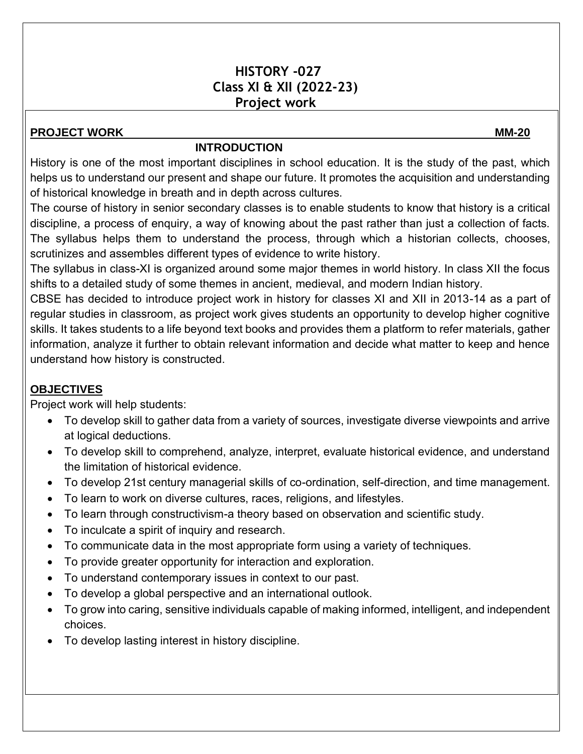#### **HISTORY -027 Class XI & XII (2022-23) Project work**

#### **PROJECT WORK MM-20**

#### **INTRODUCTION**

History is one of the most important disciplines in school education. It is the study of the past, which helps us to understand our present and shape our future. It promotes the acquisition and understanding of historical knowledge in breath and in depth across cultures.

The course of history in senior secondary classes is to enable students to know that history is a critical discipline, a process of enquiry, a way of knowing about the past rather than just a collection of facts. The syllabus helps them to understand the process, through which a historian collects, chooses, scrutinizes and assembles different types of evidence to write history.

The syllabus in class-XI is organized around some major themes in world history. In class XII the focus shifts to a detailed study of some themes in ancient, medieval, and modern Indian history.

CBSE has decided to introduce project work in history for classes XI and XII in 2013-14 as a part of regular studies in classroom, as project work gives students an opportunity to develop higher cognitive skills. It takes students to a life beyond text books and provides them a platform to refer materials, gather information, analyze it further to obtain relevant information and decide what matter to keep and hence understand how history is constructed.

#### **OBJECTIVES**

Project work will help students:

- To develop skill to gather data from a variety of sources, investigate diverse viewpoints and arrive at logical deductions.
- To develop skill to comprehend, analyze, interpret, evaluate historical evidence, and understand the limitation of historical evidence.
- To develop 21st century managerial skills of co-ordination, self-direction, and time management.
- To learn to work on diverse cultures, races, religions, and lifestyles.
- To learn through constructivism-a theory based on observation and scientific study.
- To inculcate a spirit of inquiry and research.
- To communicate data in the most appropriate form using a variety of techniques.
- To provide greater opportunity for interaction and exploration.
- To understand contemporary issues in context to our past.
- To develop a global perspective and an international outlook.
- To grow into caring, sensitive individuals capable of making informed, intelligent, and independent choices.
- To develop lasting interest in history discipline.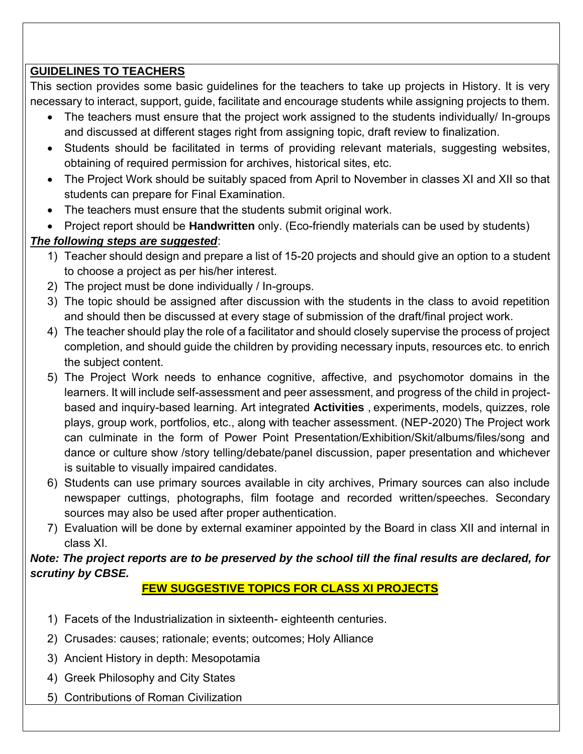#### **GUIDELINES TO TEACHERS**

This section provides some basic guidelines for the teachers to take up projects in History. It is very necessary to interact, support, guide, facilitate and encourage students while assigning projects to them.

- The teachers must ensure that the project work assigned to the students individually/ In-groups and discussed at different stages right from assigning topic, draft review to finalization.
- Students should be facilitated in terms of providing relevant materials, suggesting websites, obtaining of required permission for archives, historical sites, etc.
- The Project Work should be suitably spaced from April to November in classes XI and XII so that students can prepare for Final Examination.
- The teachers must ensure that the students submit original work.
- Project report should be **Handwritten** only. (Eco-friendly materials can be used by students)

#### *The following steps are suggested*:

- 1) Teacher should design and prepare a list of 15-20 projects and should give an option to a student to choose a project as per his/her interest.
- 2) The project must be done individually / In-groups.
- 3) The topic should be assigned after discussion with the students in the class to avoid repetition and should then be discussed at every stage of submission of the draft/final project work.
- 4) The teacher should play the role of a facilitator and should closely supervise the process of project completion, and should guide the children by providing necessary inputs, resources etc. to enrich the subject content.
- 5) The Project Work needs to enhance cognitive, affective, and psychomotor domains in the learners. It will include self-assessment and peer assessment, and progress of the child in projectbased and inquiry-based learning. Art integrated **Activities** , experiments, models, quizzes, role plays, group work, portfolios, etc., along with teacher assessment. (NEP-2020) The Project work can culminate in the form of Power Point Presentation/Exhibition/Skit/albums/files/song and dance or culture show /story telling/debate/panel discussion, paper presentation and whichever is suitable to visually impaired candidates.
- 6) Students can use primary sources available in city archives, Primary sources can also include newspaper cuttings, photographs, film footage and recorded written/speeches. Secondary sources may also be used after proper authentication.
- 7) Evaluation will be done by external examiner appointed by the Board in class XII and internal in class XI.

#### *Note: The project reports are to be preserved by the school till the final results are declared, for scrutiny by CBSE.*

### **FEW SUGGESTIVE TOPICS FOR CLASS XI PROJECTS**

- 1) Facets of the Industrialization in sixteenth- eighteenth centuries.
- 2) Crusades: causes; rationale; events; outcomes; Holy Alliance
- 3) Ancient History in depth: Mesopotamia
- 4) Greek Philosophy and City States
- 5) Contributions of Roman Civilization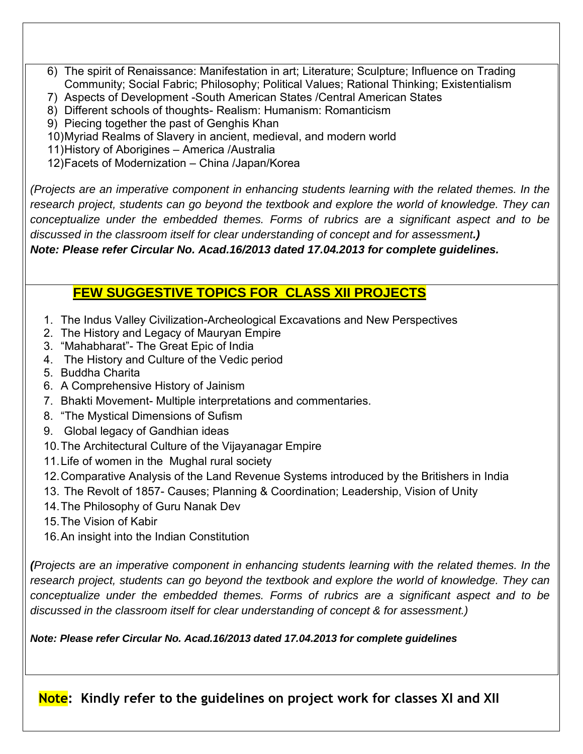- 6) The spirit of Renaissance: Manifestation in art; Literature; Sculpture; Influence on Trading Community; Social Fabric; Philosophy; Political Values; Rational Thinking; Existentialism
- 7) Aspects of Development -South American States /Central American States
- 8) Different schools of thoughts- Realism: Humanism: Romanticism
- 9) Piecing together the past of Genghis Khan
- 10)Myriad Realms of Slavery in ancient, medieval, and modern world
- 11)History of Aborigines America /Australia

12)Facets of Modernization – China /Japan/Korea

*(Projects are an imperative component in enhancing students learning with the related themes. In the research project, students can go beyond the textbook and explore the world of knowledge. They can conceptualize under the embedded themes. Forms of rubrics are a significant aspect and to be discussed in the classroom itself for clear understanding of concept and for assessment.)* 

*Note: Please refer Circular No. Acad.16/2013 dated 17.04.2013 for complete guidelines.*

# **FEW SUGGESTIVE TOPICS FOR CLASS XII PROJECTS**

- 1. The Indus Valley Civilization-Archeological Excavations and New Perspectives
- 2. The History and Legacy of Mauryan Empire
- 3. "Mahabharat"- The Great Epic of India
- 4. The History and Culture of the Vedic period
- 5. Buddha Charita
- 6. A Comprehensive History of Jainism
- 7. Bhakti Movement- Multiple interpretations and commentaries.
- 8. "The Mystical Dimensions of Sufism
- 9. Global legacy of Gandhian ideas
- 10.The Architectural Culture of the Vijayanagar Empire
- 11.Life of women in the Mughal rural society
- 12.Comparative Analysis of the Land Revenue Systems introduced by the Britishers in India
- 13. The Revolt of 1857- Causes; Planning & Coordination; Leadership, Vision of Unity
- 14.The Philosophy of Guru Nanak Dev
- 15.The Vision of Kabir
- 16.An insight into the Indian Constitution

*(Projects are an imperative component in enhancing students learning with the related themes. In the research project, students can go beyond the textbook and explore the world of knowledge. They can conceptualize under the embedded themes. Forms of rubrics are a significant aspect and to be discussed in the classroom itself for clear understanding of concept & for assessment.)*

*Note: Please refer Circular No. Acad.16/2013 dated 17.04.2013 for complete guidelines*

**Note: Kindly refer to the guidelines on project work for classes XI and XII**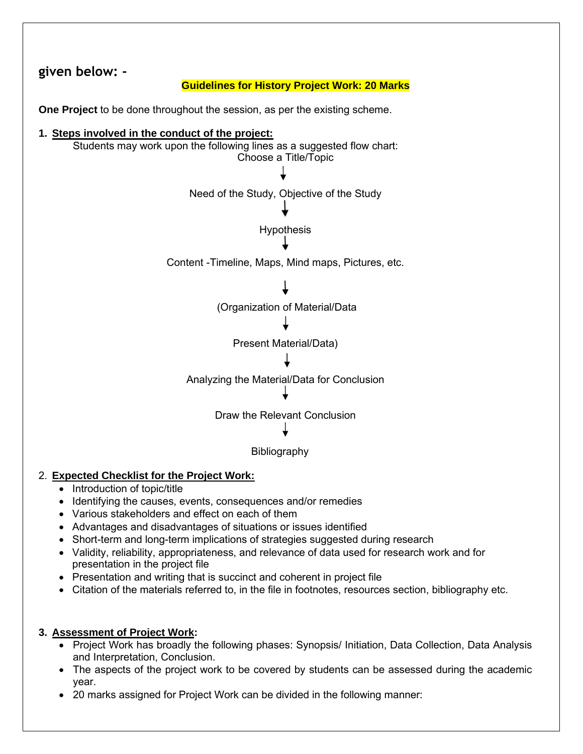

#### 2. **Expected Checklist for the Project Work:**

- Introduction of topic/title
- Identifying the causes, events, consequences and/or remedies
- Various stakeholders and effect on each of them
- Advantages and disadvantages of situations or issues identified
- Short-term and long-term implications of strategies suggested during research
- Validity, reliability, appropriateness, and relevance of data used for research work and for presentation in the project file
- Presentation and writing that is succinct and coherent in project file
- Citation of the materials referred to, in the file in footnotes, resources section, bibliography etc.

#### **3. Assessment of Project Work:**

- Project Work has broadly the following phases: Synopsis/ Initiation, Data Collection, Data Analysis and Interpretation, Conclusion.
- The aspects of the project work to be covered by students can be assessed during the academic year.
- 20 marks assigned for Project Work can be divided in the following manner: